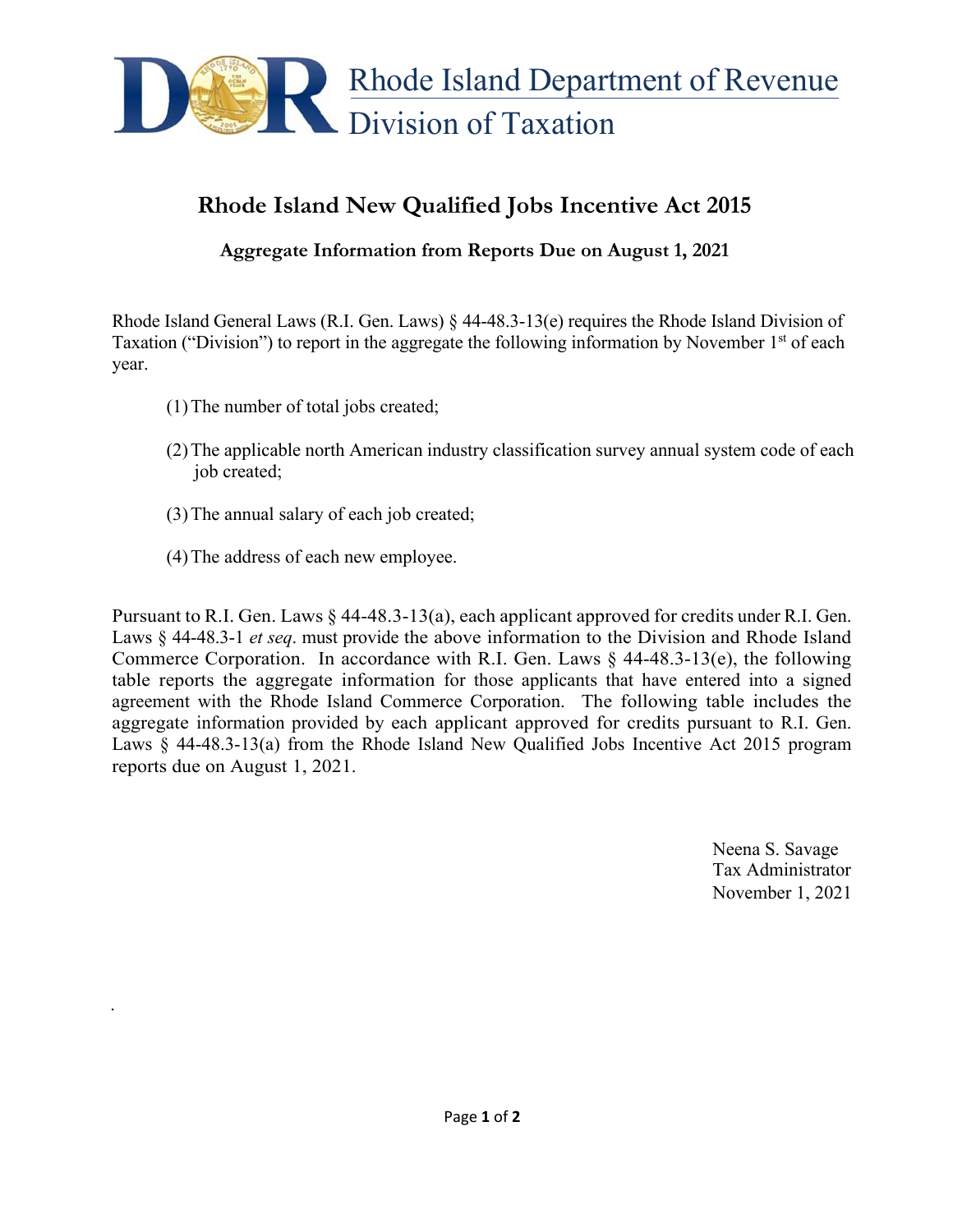

## **Rhode Island New Qualified Jobs Incentive Act 2015**

**Aggregate Information from Reports Due on August 1, 2021**

Rhode Island General Laws (R.I. Gen. Laws) § 44-48.3-13(e) requires the Rhode Island Division of Taxation ("Division") to report in the aggregate the following information by November  $1<sup>st</sup>$  of each year.

- (1)The number of total jobs created;
- (2)The applicable north American industry classification survey annual system code of each job created;
- (3)The annual salary of each job created;
- (4)The address of each new employee.

.

Pursuant to R.I. Gen. Laws § 44-48.3-13(a), each applicant approved for credits under R.I. Gen. Laws § 44-48.3-1 *et seq*. must provide the above information to the Division and Rhode Island Commerce Corporation. In accordance with R.I. Gen. Laws  $\S$  44-48.3-13(e), the following table reports the aggregate information for those applicants that have entered into a signed agreement with the Rhode Island Commerce Corporation. The following table includes the aggregate information provided by each applicant approved for credits pursuant to R.I. Gen. Laws § 44-48.3-13(a) from the Rhode Island New Qualified Jobs Incentive Act 2015 program reports due on August 1, 2021.

> Neena S. Savage Tax Administrator November 1, 2021